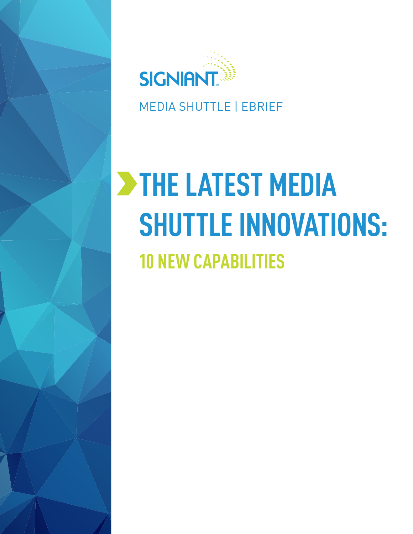

MEDIA SHUTTLE | EBRIEF

# **THE LATEST MEDIA SHUTTLE INNOVATIONS: 10 NEW CAPABILITIES**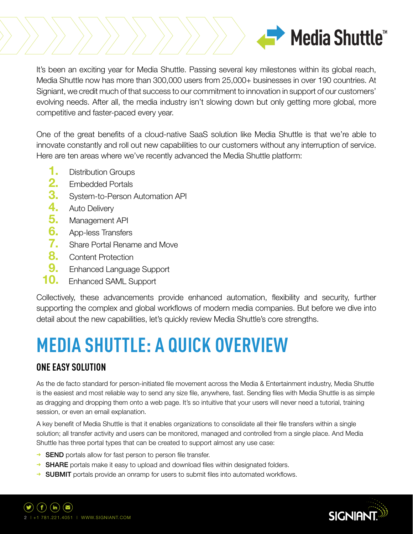

It's been an exciting year for Media Shuttle. Passing several key milestones within its global reach, Media Shuttle now has more than 300,000 users from 25,000+ businesses in over 190 countries. At Signiant, we credit much of that success to our commitment to innovation in support of our customers' evolving needs. After all, the media industry isn't slowing down but only getting more global, more competitive and faster-paced every year.

One of the great benefits of a cloud-native SaaS solution like Media Shuttle is that we're able to innovate constantly and roll out new capabilities to our customers without any interruption of service. Here are ten areas where we've recently advanced the Media Shuttle platform:

- **1.** Distribution Groups
- **2.** Embedded Portals
- **3.** System-to-Person Automation API
- 
- **4.** Auto Delivery<br>**5.** Management **5.** Management API
- **6.** App-less Transfers
- **7.** Share Portal Rename and Move
- **8.** Content Protection
- **9.** Enhanced Language Support
- Enhanced SAML Support **10.**

Collectively, these advancements provide enhanced automation, flexibility and security, further supporting the complex and global workflows of modern media companies. But before we dive into detail about the new capabilities, let's quickly review Media Shuttle's core strengths.

# **MEDIA SHUTTLE: A QUICK OVERVIEW**

# **ONE EASY SOLUTION**

As the de facto standard for person-initiated file movement across the Media & Entertainment industry, Media Shuttle is the easiest and most reliable way to send any size file, anywhere, fast. Sending files with Media Shuttle is as simple as dragging and dropping them onto a web page. It's so intuitive that your users will never need a tutorial, training session, or even an email explanation.

A key benefit of Media Shuttle is that it enables organizations to consolidate all their file transfers within a single solution; all transfer activity and users can be monitored, managed and controlled from a single place. And Media Shuttle has three portal types that can be created to support almost any use case:

- → **SEND** portals allow for fast person to person file transfer.
- → **SHARE** portals make it easy to upload and download files within designated folders.
- → SUBMIT portals provide an onramp for users to submit files into automated workflows.



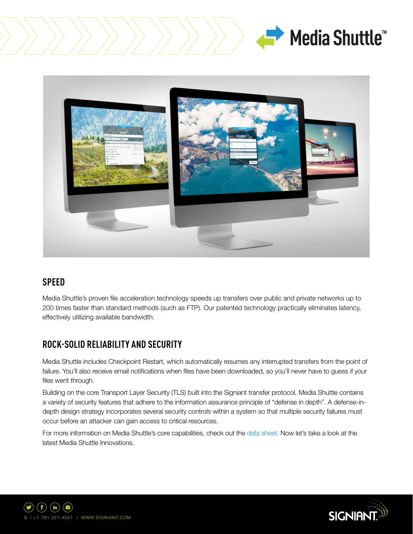





### **SPEED**

Media Shuttle's proven file acceleration technology speeds up transfers over public and private networks up to 200 times faster than standard methods (such as FTP). Our patented technology practically eliminates latency, effectively utilizing available bandwidth.

# **ROCK-SOLID RELIABILITY AND SECURITY**

Media Shuttle includes Checkpoint Restart, which automatically resumes any interrupted transfers from the point of failure. You'll also receive email notifications when files have been downloaded, so you'll never have to guess if your files went through.

Building on the core Transport Layer Security (TLS) built into the Signiant transfer protocol, Media Shuttle contains a variety of security features that adhere to the information assurance principle of "defense in depth". A defense-indepth design strategy incorporates several security controls within a system so that multiple security failures must occur before an attacker can gain access to critical resources.

For more information on Media Shuttle's core capabilities, check out the [data sheet.](http://info.signiant.com/rs/134-QHZ-485/images/Media%20Shuttle%20Data%20Sheet.pdf) Now let's take a look at the latest Media Shuttle Innovations.



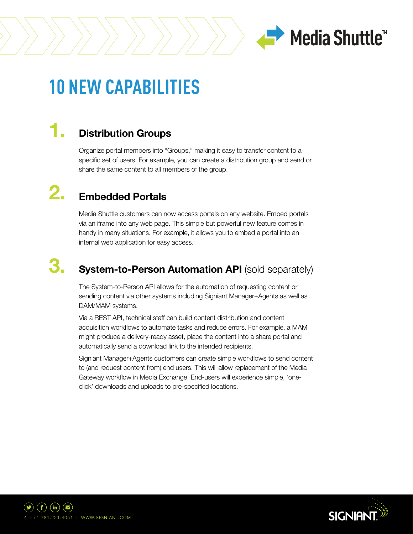

# **10 NEW CAPABILITIES**

#### **Distribution Groups 1.**

Organize portal members into "Groups," making it easy to transfer content to a specific set of users. For example, you can create a distribution group and send or share the same content to all members of the group.

#### **Embedded Portals 2.**

Media Shuttle customers can now access portals on any website. Embed portals via an iframe into any web page. This simple but powerful new feature comes in handy in many situations. For example, it allows you to embed a portal into an internal web application for easy access.

#### **System-to-Person Automation API (sold separately) 3.**

The System-to-Person API allows for the automation of requesting content or sending content via other systems including Signiant Manager+Agents as well as DAM/MAM systems.

Via a REST API, technical staff can build content distribution and content acquisition workflows to automate tasks and reduce errors. For example, a MAM might produce a delivery-ready asset, place the content into a share portal and automatically send a download link to the intended recipients.

Signiant Manager+Agents customers can create simple workflows to send content to (and request content from) end users. This will allow replacement of the Media Gateway workflow in Media Exchange. End-users will experience simple, 'oneclick' downloads and uploads to pre-specified locations.



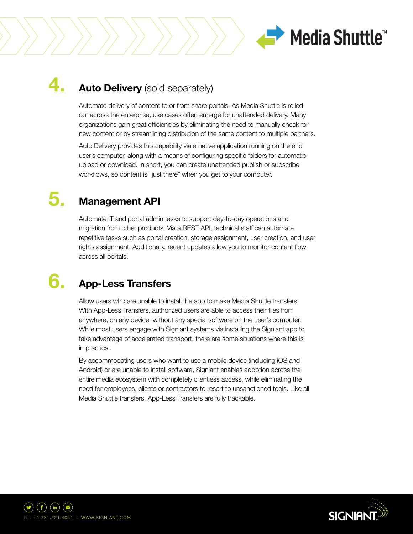

#### **Auto Delivery** (sold separately) **4.**

Automate delivery of content to or from share portals. As Media Shuttle is rolled out across the enterprise, use cases often emerge for unattended delivery. Many organizations gain great efficiencies by eliminating the need to manually check for new content or by streamlining distribution of the same content to multiple partners.

Auto Delivery provides this capability via a native application running on the end user's computer, along with a means of configuring specific folders for automatic upload or download. In short, you can create unattended publish or subscribe workflows, so content is "just there" when you get to your computer.

#### **Management API 5.**

Automate IT and portal admin tasks to support day-to-day operations and migration from other products. Via a REST API, technical staff can automate repetitive tasks such as portal creation, storage assignment, user creation, and user rights assignment. Additionally, recent updates allow you to monitor content flow across all portals.

#### **App-Less Transfers 6.**

Allow users who are unable to install the app to make Media Shuttle transfers. With App-Less Transfers, authorized users are able to access their files from anywhere, on any device, without any special software on the user's computer. While most users engage with Signiant systems via installing the Signiant app to take advantage of accelerated transport, there are some situations where this is impractical.

By accommodating users who want to use a mobile device (including iOS and Android) or are unable to install software, Signiant enables adoption across the entire media ecosystem with completely clientless access, while eliminating the need for employees, clients or contractors to resort to unsanctioned tools. Like all Media Shuttle transfers, App-Less Transfers are fully trackable.



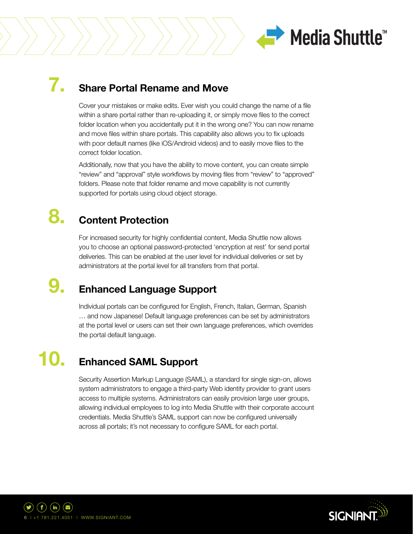

#### **Share Portal Rename and Move 7.**

Cover your mistakes or make edits. Ever wish you could change the name of a file within a share portal rather than re-uploading it, or simply move files to the correct folder location when you accidentally put it in the wrong one? You can now rename and move files within share portals. This capability also allows you to fix uploads with poor default names (like iOS/Android videos) and to easily move files to the correct folder location.

Additionally, now that you have the ability to move content, you can create simple "review" and "approval" style workflows by moving files from "review" to "approved" folders. Please note that folder rename and move capability is not currently supported for portals using cloud object storage.

#### **Content Protection 8.**

For increased security for highly confidential content, Media Shuttle now allows you to choose an optional password-protected 'encryption at rest' for send portal deliveries. This can be enabled at the user level for individual deliveries or set by administrators at the portal level for all transfers from that portal.

#### **Enhanced Language Support 9.**

Individual portals can be configured for English, French, Italian, German, Spanish … and now Japanese! Default language preferences can be set by administrators at the portal level or users can set their own language preferences, which overrides the portal default language.

#### **Enhanced SAML Support 10.**

Security Assertion Markup Language (SAML), a standard for single sign-on, allows system administrators to engage a third-party Web identity provider to grant users access to multiple systems. Administrators can easily provision large user groups, allowing individual employees to log into Media Shuttle with their corporate account credentials. Media Shuttle's SAML support can now be configured universally across all portals; it's not necessary to configure SAML for each portal.